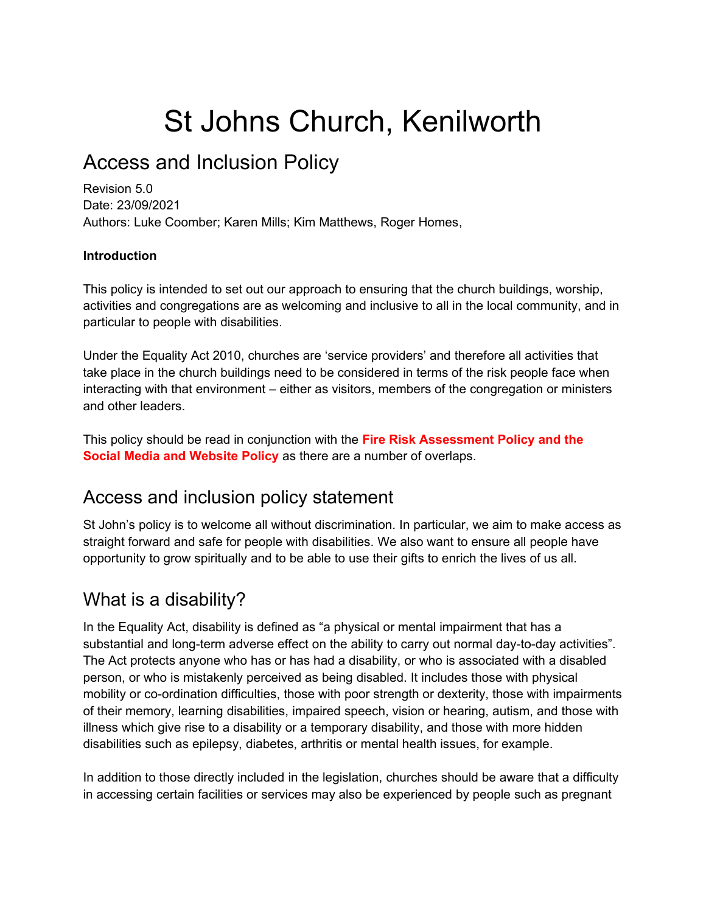# St Johns Church, Kenilworth

# Access and Inclusion Policy

Revision 5.0 Date: 23/09/2021 Authors: Luke Coomber; Karen Mills; Kim Matthews, Roger Homes,

#### **Introduction**

This policy is intended to set out our approach to ensuring that the church buildings, worship, activities and congregations are as welcoming and inclusive to all in the local community, and in particular to people with disabilities.

Under the Equality Act 2010, churches are 'service providers' and therefore all activities that take place in the church buildings need to be considered in terms of the risk people face when interacting with that environment – either as visitors, members of the congregation or ministers and other leaders.

This policy should be read in conjunction with the **Fire Risk Assessment Policy and the Social Media and Website Policy** as there are a number of overlaps.

### Access and inclusion policy statement

St John's policy is to welcome all without discrimination. In particular, we aim to make access as straight forward and safe for people with disabilities. We also want to ensure all people have opportunity to grow spiritually and to be able to use their gifts to enrich the lives of us all.

### What is a disability?

In the Equality Act, disability is defined as "a physical or mental impairment that has a substantial and long-term adverse effect on the ability to carry out normal day-to-day activities". The Act protects anyone who has or has had a disability, or who is associated with a disabled person, or who is mistakenly perceived as being disabled. It includes those with physical mobility or co-ordination difficulties, those with poor strength or dexterity, those with impairments of their memory, learning disabilities, impaired speech, vision or hearing, autism, and those with illness which give rise to a disability or a temporary disability, and those with more hidden disabilities such as epilepsy, diabetes, arthritis or mental health issues, for example.

In addition to those directly included in the legislation, churches should be aware that a difficulty in accessing certain facilities or services may also be experienced by people such as pregnant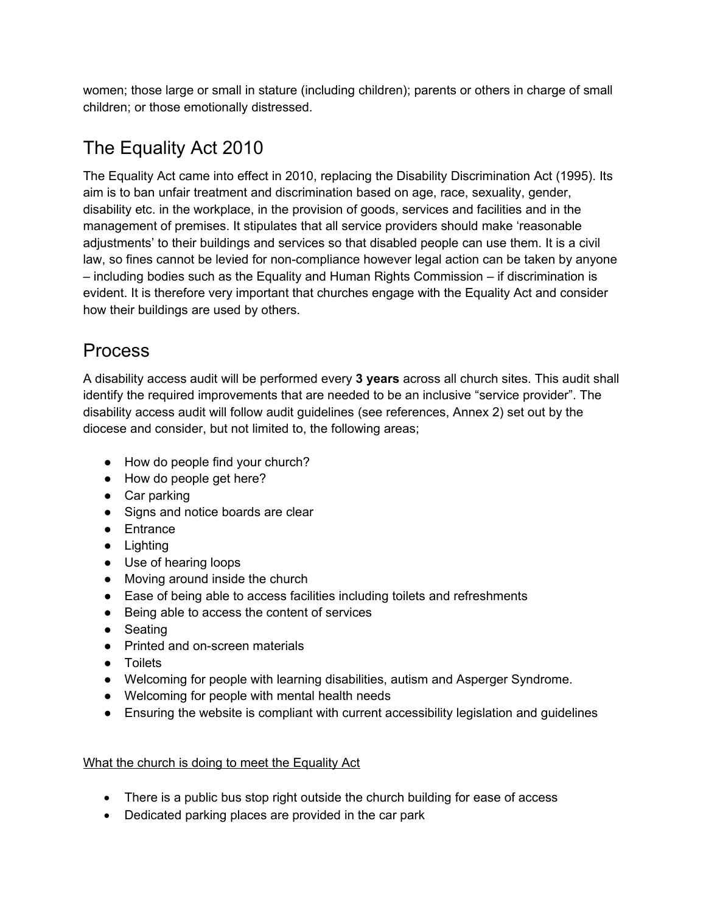women; those large or small in stature (including children); parents or others in charge of small children; or those emotionally distressed.

# The Equality Act 2010

The Equality Act came into effect in 2010, replacing the Disability Discrimination Act (1995). Its aim is to ban unfair treatment and discrimination based on age, race, sexuality, gender, disability etc. in the workplace, in the provision of goods, services and facilities and in the management of premises. It stipulates that all service providers should make 'reasonable adjustments' to their buildings and services so that disabled people can use them. It is a civil law, so fines cannot be levied for non-compliance however legal action can be taken by anyone – including bodies such as the Equality and Human Rights Commission – if discrimination is evident. It is therefore very important that churches engage with the Equality Act and consider how their buildings are used by others.

### Process

A disability access audit will be performed every **3 years** across all church sites. This audit shall identify the required improvements that are needed to be an inclusive "service provider". The disability access audit will follow audit guidelines (see references, Annex 2) set out by the diocese and consider, but not limited to, the following areas;

- How do people find your church?
- How do people get here?
- Car parking
- Signs and notice boards are clear
- Entrance
- Lighting
- Use of hearing loops
- Moving around inside the church
- Ease of being able to access facilities including toilets and refreshments
- Being able to access the content of services
- Seating
- Printed and on-screen materials
- Toilets
- Welcoming for people with learning disabilities, autism and Asperger Syndrome.
- Welcoming for people with mental health needs
- Ensuring the website is compliant with current accessibility legislation and guidelines

#### What the church is doing to meet the Equality Act

- There is a public bus stop right outside the church building for ease of access
- Dedicated parking places are provided in the car park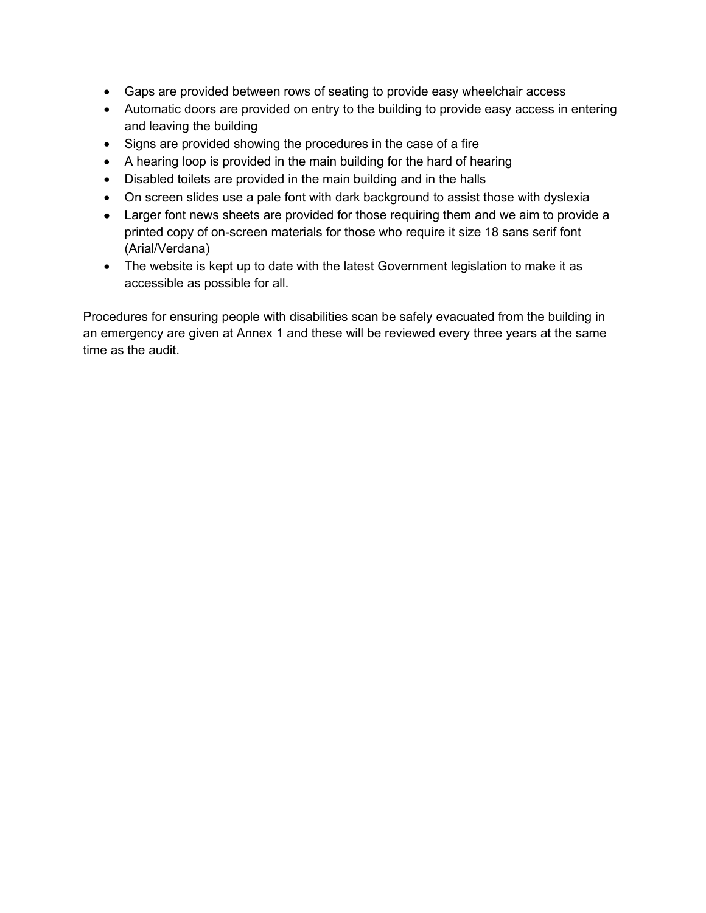- Gaps are provided between rows of seating to provide easy wheelchair access
- Automatic doors are provided on entry to the building to provide easy access in entering and leaving the building
- Signs are provided showing the procedures in the case of a fire
- A hearing loop is provided in the main building for the hard of hearing
- Disabled toilets are provided in the main building and in the halls
- On screen slides use a pale font with dark background to assist those with dyslexia
- Larger font news sheets are provided for those requiring them and we aim to provide a printed copy of on-screen materials for those who require it size 18 sans serif font (Arial/Verdana)
- The website is kept up to date with the latest Government legislation to make it as accessible as possible for all.

Procedures for ensuring people with disabilities scan be safely evacuated from the building in an emergency are given at Annex 1 and these will be reviewed every three years at the same time as the audit.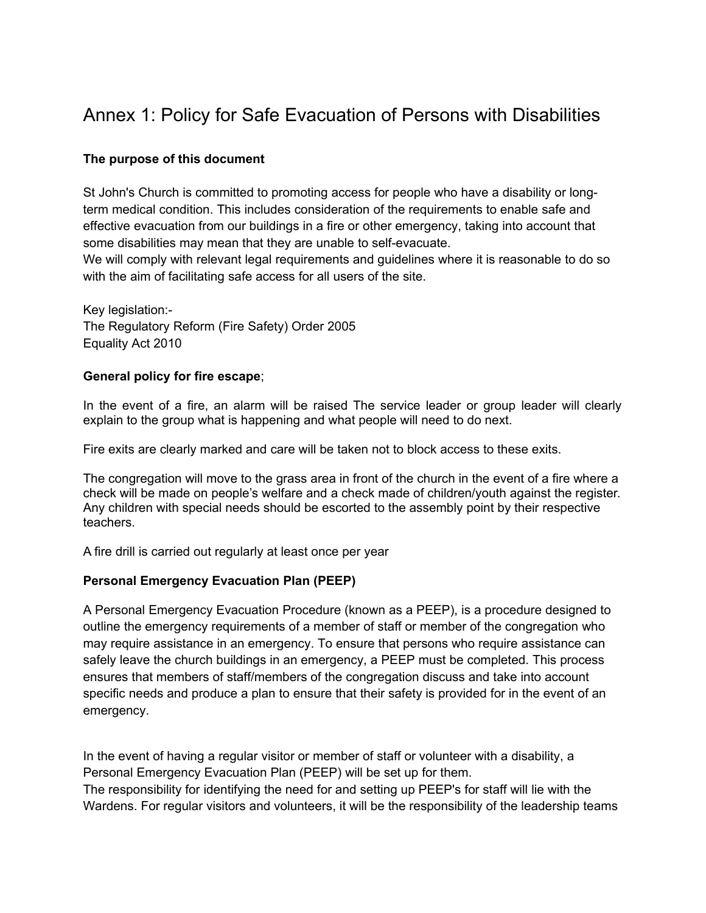## Annex 1: Policy for Safe Evacuation of Persons with Disabilities

#### **The purpose of this document**

St John's Church is committed to promoting access for people who have a disability or longterm medical condition. This includes consideration of the requirements to enable safe and effective evacuation from our buildings in a fire or other emergency, taking into account that some disabilities may mean that they are unable to self-evacuate.

We will comply with relevant legal requirements and guidelines where it is reasonable to do so with the aim of facilitating safe access for all users of the site.

Key legislation:- The Regulatory Reform (Fire Safety) Order 2005 Equality Act 2010

#### **General policy for fire escape**;

In the event of a fire, an alarm will be raised The service leader or group leader will clearly explain to the group what is happening and what people will need to do next.

Fire exits are clearly marked and care will be taken not to block access to these exits.

The congregation will move to the grass area in front of the church in the event of a fire where a check will be made on people's welfare and a check made of children/youth against the register. Any children with special needs should be escorted to the assembly point by their respective teachers.

A fire drill is carried out regularly at least once per year

#### **Personal Emergency Evacuation Plan (PEEP)**

A Personal Emergency Evacuation Procedure (known as a PEEP), is a procedure designed to outline the emergency requirements of a member of staff or member of the congregation who may require assistance in an emergency. To ensure that persons who require assistance can safely leave the church buildings in an emergency, a PEEP must be completed. This process ensures that members of staff/members of the congregation discuss and take into account specific needs and produce a plan to ensure that their safety is provided for in the event of an emergency.

In the event of having a regular visitor or member of staff or volunteer with a disability, a Personal Emergency Evacuation Plan (PEEP) will be set up for them.

The responsibility for identifying the need for and setting up PEEP's for staff will lie with the Wardens. For regular visitors and volunteers, it will be the responsibility of the leadership teams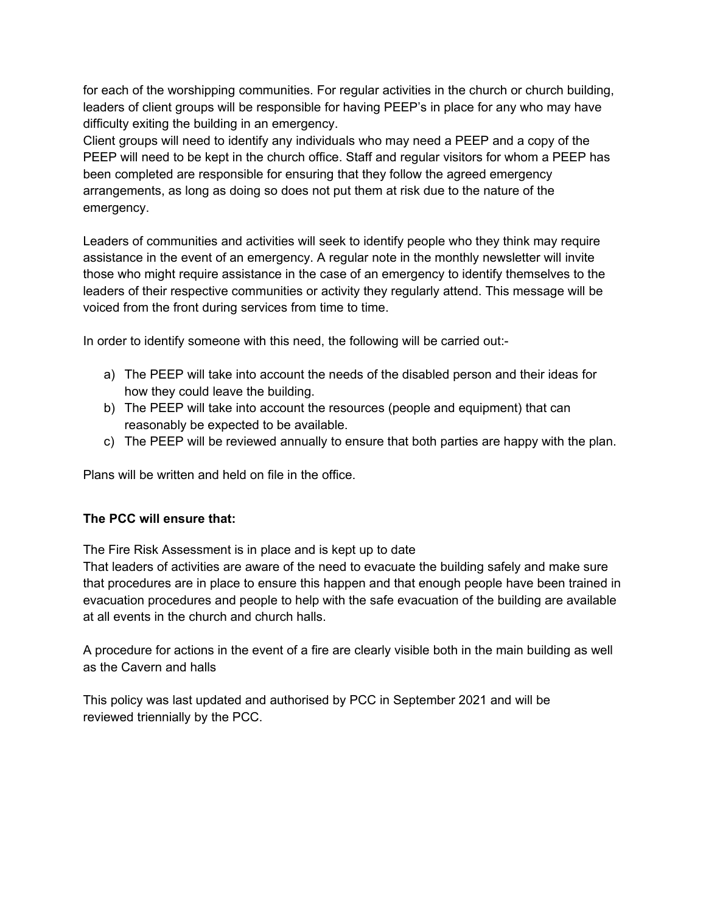for each of the worshipping communities. For regular activities in the church or church building, leaders of client groups will be responsible for having PEEP's in place for any who may have difficulty exiting the building in an emergency.

Client groups will need to identify any individuals who may need a PEEP and a copy of the PEEP will need to be kept in the church office. Staff and regular visitors for whom a PEEP has been completed are responsible for ensuring that they follow the agreed emergency arrangements, as long as doing so does not put them at risk due to the nature of the emergency.

Leaders of communities and activities will seek to identify people who they think may require assistance in the event of an emergency. A regular note in the monthly newsletter will invite those who might require assistance in the case of an emergency to identify themselves to the leaders of their respective communities or activity they regularly attend. This message will be voiced from the front during services from time to time.

In order to identify someone with this need, the following will be carried out:-

- a) The PEEP will take into account the needs of the disabled person and their ideas for how they could leave the building.
- b) The PEEP will take into account the resources (people and equipment) that can reasonably be expected to be available.
- c) The PEEP will be reviewed annually to ensure that both parties are happy with the plan.

Plans will be written and held on file in the office.

#### **The PCC will ensure that:**

The Fire Risk Assessment is in place and is kept up to date

That leaders of activities are aware of the need to evacuate the building safely and make sure that procedures are in place to ensure this happen and that enough people have been trained in evacuation procedures and people to help with the safe evacuation of the building are available at all events in the church and church halls.

A procedure for actions in the event of a fire are clearly visible both in the main building as well as the Cavern and halls

This policy was last updated and authorised by PCC in September 2021 and will be reviewed triennially by the PCC.